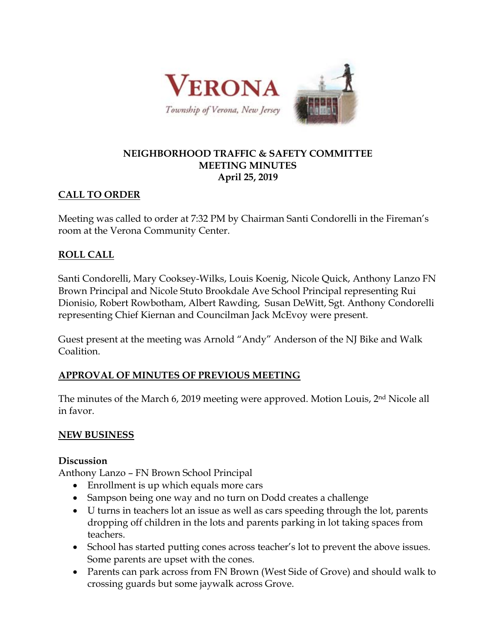

#### **NEIGHBORHOOD TRAFFIC & SAFETY COMMITTEE MEETING MINUTES April 25, 2019**

# **CALL TO ORDER**

Meeting was called to order at 7:32 PM by Chairman Santi Condorelli in the Fireman's room at the Verona Community Center.

# **ROLL CALL**

Santi Condorelli, Mary Cooksey-Wilks, Louis Koenig, Nicole Quick, Anthony Lanzo FN Brown Principal and Nicole Stuto Brookdale Ave School Principal representing Rui Dionisio, Robert Rowbotham, Albert Rawding, Susan DeWitt, Sgt. Anthony Condorelli representing Chief Kiernan and Councilman Jack McEvoy were present.

Guest present at the meeting was Arnold "Andy" Anderson of the NJ Bike and Walk Coalition.

## **APPROVAL OF MINUTES OF PREVIOUS MEETING**

The minutes of the March 6, 2019 meeting were approved. Motion Louis, 2nd Nicole all in favor.

## **NEW BUSINESS**

## **Discussion**

Anthony Lanzo – FN Brown School Principal

- Enrollment is up which equals more cars
- Sampson being one way and no turn on Dodd creates a challenge
- U turns in teachers lot an issue as well as cars speeding through the lot, parents dropping off children in the lots and parents parking in lot taking spaces from teachers.
- School has started putting cones across teacher's lot to prevent the above issues. Some parents are upset with the cones.
- Parents can park across from FN Brown (West Side of Grove) and should walk to crossing guards but some jaywalk across Grove.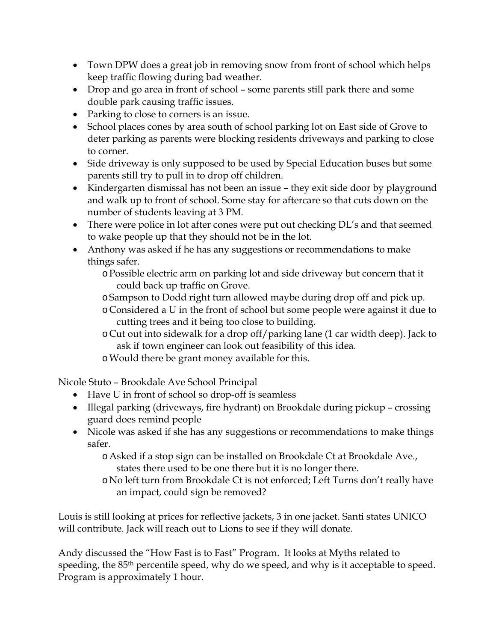- Town DPW does a great job in removing snow from front of school which helps keep traffic flowing during bad weather.
- Drop and go area in front of school some parents still park there and some double park causing traffic issues.
- Parking to close to corners is an issue.
- School places cones by area south of school parking lot on East side of Grove to deter parking as parents were blocking residents driveways and parking to close to corner.
- Side driveway is only supposed to be used by Special Education buses but some parents still try to pull in to drop off children.
- Kindergarten dismissal has not been an issue they exit side door by playground and walk up to front of school. Some stay for aftercare so that cuts down on the number of students leaving at 3 PM.
- There were police in lot after cones were put out checking DL's and that seemed to wake people up that they should not be in the lot.
- Anthony was asked if he has any suggestions or recommendations to make things safer.
	- oPossible electric arm on parking lot and side driveway but concern that it could back up traffic on Grove.
	- oSampson to Dodd right turn allowed maybe during drop off and pick up.
	- o Considered a U in the front of school but some people were against it due to cutting trees and it being too close to building.
	- o Cut out into sidewalk for a drop off/parking lane (1 car width deep). Jack to ask if town engineer can look out feasibility of this idea.
	- oWould there be grant money available for this.

Nicole Stuto – Brookdale Ave School Principal

- Have U in front of school so drop-off is seamless
- Illegal parking (driveways, fire hydrant) on Brookdale during pickup crossing guard does remind people
- Nicole was asked if she has any suggestions or recommendations to make things safer.
	- oAsked if a stop sign can be installed on Brookdale Ct at Brookdale Ave., states there used to be one there but it is no longer there.
	- o No left turn from Brookdale Ct is not enforced; Left Turns don't really have an impact, could sign be removed?

Louis is still looking at prices for reflective jackets, 3 in one jacket. Santi states UNICO will contribute. Jack will reach out to Lions to see if they will donate.

Andy discussed the "How Fast is to Fast" Program. It looks at Myths related to speeding, the 85<sup>th</sup> percentile speed, why do we speed, and why is it acceptable to speed. Program is approximately 1 hour.